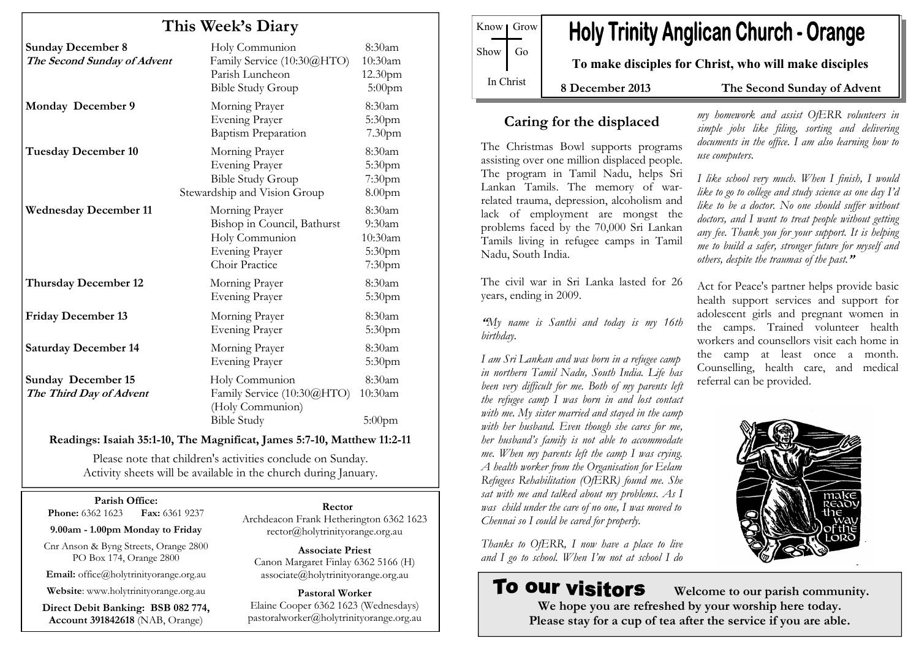| This Week's Diary                                       |                                                                                                            |                                                                |
|---------------------------------------------------------|------------------------------------------------------------------------------------------------------------|----------------------------------------------------------------|
| <b>Sunday December 8</b><br>The Second Sunday of Advent | Holy Communion<br>Family Service (10:30@HTO)<br>Parish Luncheon<br><b>Bible Study Group</b>                | 8:30am<br>10:30am<br>12.30pm<br>$5:00$ pm                      |
| <b>Monday December 9</b>                                | Morning Prayer<br><b>Evening Prayer</b><br><b>Baptism Preparation</b>                                      | 8:30am<br>5:30pm<br>7.30pm                                     |
| <b>Tuesday December 10</b>                              | Morning Prayer<br><b>Evening Prayer</b><br><b>Bible Study Group</b><br>Stewardship and Vision Group        | 8:30am<br>5:30pm<br>7:30pm<br>8.00 <sub>pm</sub>               |
| <b>Wednesday December 11</b>                            | Morning Prayer<br>Bishop in Council, Bathurst<br>Holy Communion<br><b>Evening Prayer</b><br>Choir Practice | 8:30am<br>$9:30$ am<br>10:30am<br>5:30pm<br>7:30 <sub>pm</sub> |
| <b>Thursday December 12</b>                             | Morning Prayer<br><b>Evening Prayer</b>                                                                    | 8:30am<br>5:30 <sub>pm</sub>                                   |
| <b>Friday December 13</b>                               | Morning Prayer<br><b>Evening Prayer</b>                                                                    | 8:30am<br>5:30pm                                               |
| <b>Saturday December 14</b>                             | Morning Prayer<br><b>Evening Prayer</b>                                                                    | 8:30am<br>5:30pm                                               |
| <b>Sunday December 15</b><br>The Third Day of Advent    | Holy Communion<br>Family Service (10:30@HTO)<br>(Holy Communion)<br><b>Bible Study</b>                     | 8:30am<br>10:30am<br>$5:00$ pm                                 |

#### Readings: Isaiah 35:1-10, The Magnificat, James 5:7-10, Matthew 11:2-11

Please note that children's activities conclude on Sunday. Activity sheets will be available in the church during January.

#### Parish Office:

**Phone:** 6362 1623 **Fax:** 6361 9237

9.00am - 1.00pm Monday to Friday

Cnr Anson & Byng Streets, Orange 2800 PO Box 174, Orange 2800

Email: office@holytrinityorange.org.au

Website: www.holytrinityorange.org.au

Direct Debit Banking: BSB 082 774, Account 391842618 (NAB, Orange)

#### Rector

 Archdeacon Frank Hetherington 6362 1623 rector@holytrinityorange.org.au

Associate Priest Canon Margaret Finlay 6362 5166 (H) associate@holytrinityorange.org.au

Pastoral Worker Elaine Cooper 6362 1623 (Wednesdays) pastoralworker@holytrinityorange.org.au

# **Holy Trinity Anglican Church - Orange**

To make disciples for Christ, who will make disciples

8 December 2013 The Second Sunday of Advent

# Caring for the displaced

Know<sub>I</sub> Grow

Show Go

In Christ

The Christmas Bowl supports programs assisting over one million displaced people. The program in Tamil Nadu, helps Sri Lankan Tamils. The memory of warrelated trauma, depression, alcoholism and lack of employment are mongst the problems faced by the 70,000 Sri Lankan Tamils living in refugee camps in Tamil Nadu, South India.

The civil war in Sri Lanka lasted for 26 years, ending in 2009.

"My name is Santhi and today is my 16th birthday.

I am Sri Lankan and was born in a refugee camp in northern Tamil Nadu, South India. Life has been very difficult for me. Both of my parents left the refugee camp I was born in and lost contact with me. My sister married and stayed in the camp with her husband. Even though she cares for me, her husband's family is not able to accommodate me. When my parents left the camp  $I$  was crying. A health worker from the Organisation for Eelam Refugees Rehabilitation (OfERR) found me. She sat with me and talked about my problems. As I was child under the care of no one, I was moved to Chennai so I could be cared for properly.

Thanks to OfERR, I now have a place to live and I go to school. When I'm not at school I do

# **To our visitors**

 Welcome to our parish community. We hope you are refreshed by your worship here today. Please stay for a cup of tea after the service if you are able.

my homework and assist OfERR volunteers in simple jobs like filing, sorting and delivering documents in the office. I am also learning how to use computers.

I like school very much. When I finish, I would like to go to college and study science as one day I'd like to be a doctor. No one should suffer without doctors, and I want to treat people without getting any fee. Thank you for your support. It is helping me to build a safer, stronger future for myself andothers, despite the traumas of the past. "

Act for Peace's partner helps provide basic health support services and support for adolescent girls and pregnant women in the camps. Trained volunteer health workers and counsellors visit each home in the camp at least once a month. Counselling, health care, and medical referral can be provided.